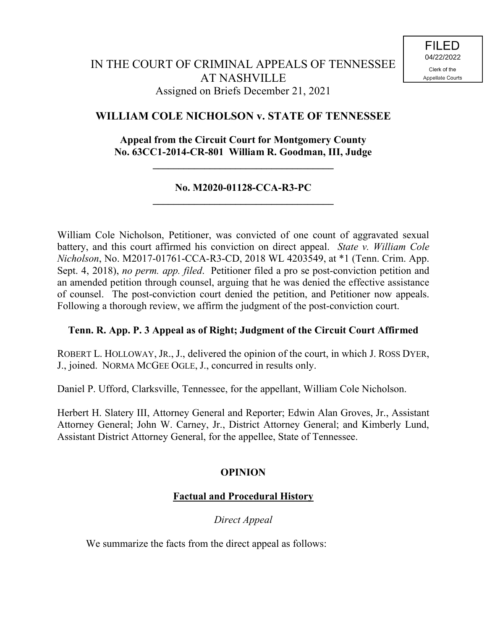# **WILLIAM COLE NICHOLSON v. STATE OF TENNESSEE**

# **Appeal from the Circuit Court for Montgomery County No. 63CC1-2014-CR-801 William R. Goodman, III, Judge**

**\_\_\_\_\_\_\_\_\_\_\_\_\_\_\_\_\_\_\_\_\_\_\_\_\_\_\_\_\_\_\_\_\_\_\_**

### **No. M2020-01128-CCA-R3-PC \_\_\_\_\_\_\_\_\_\_\_\_\_\_\_\_\_\_\_\_\_\_\_\_\_\_\_\_\_\_\_\_\_\_\_**

William Cole Nicholson, Petitioner, was convicted of one count of aggravated sexual battery, and this court affirmed his conviction on direct appeal. *State v. William Cole Nicholson*, No. M2017-01761-CCA-R3-CD, 2018 WL 4203549, at \*1 (Tenn. Crim. App. Sept. 4, 2018), *no perm. app. filed*. Petitioner filed a pro se post-conviction petition and an amended petition through counsel, arguing that he was denied the effective assistance of counsel. The post-conviction court denied the petition, and Petitioner now appeals. Following a thorough review, we affirm the judgment of the post-conviction court.

# **Tenn. R. App. P. 3 Appeal as of Right; Judgment of the Circuit Court Affirmed**

ROBERT L. HOLLOWAY, JR., J., delivered the opinion of the court, in which J. ROSS DYER, J., joined. NORMA MCGEE OGLE, J., concurred in results only.

Daniel P. Ufford, Clarksville, Tennessee, for the appellant, William Cole Nicholson.

Herbert H. Slatery III, Attorney General and Reporter; Edwin Alan Groves, Jr., Assistant Attorney General; John W. Carney, Jr., District Attorney General; and Kimberly Lund, Assistant District Attorney General, for the appellee, State of Tennessee.

# **OPINION**

# **Factual and Procedural History**

*Direct Appeal*

We summarize the facts from the direct appeal as follows: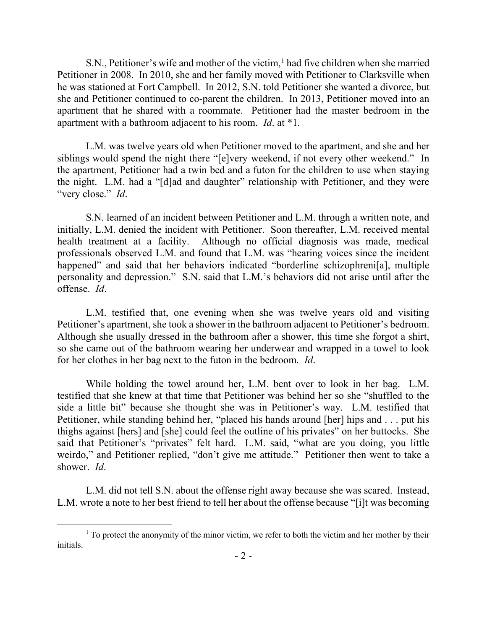S.N., Petitioner's wife and mother of the victim,<sup>1</sup> had five children when she married Petitioner in 2008. In 2010, she and her family moved with Petitioner to Clarksville when he was stationed at Fort Campbell. In 2012, S.N. told Petitioner she wanted a divorce, but she and Petitioner continued to co-parent the children. In 2013, Petitioner moved into an apartment that he shared with a roommate. Petitioner had the master bedroom in the apartment with a bathroom adjacent to his room. *Id*. at \*1.

L.M. was twelve years old when Petitioner moved to the apartment, and she and her siblings would spend the night there "[e]very weekend, if not every other weekend." In the apartment, Petitioner had a twin bed and a futon for the children to use when staying the night. L.M. had a "[d]ad and daughter" relationship with Petitioner, and they were "very close." *Id*.

S.N. learned of an incident between Petitioner and L.M. through a written note, and initially, L.M. denied the incident with Petitioner. Soon thereafter, L.M. received mental health treatment at a facility. Although no official diagnosis was made, medical professionals observed L.M. and found that L.M. was "hearing voices since the incident happened" and said that her behaviors indicated "borderline schizophreni[a], multiple personality and depression." S.N. said that L.M.'s behaviors did not arise until after the offense. *Id*.

L.M. testified that, one evening when she was twelve years old and visiting Petitioner's apartment, she took a shower in the bathroom adjacent to Petitioner's bedroom. Although she usually dressed in the bathroom after a shower, this time she forgot a shirt, so she came out of the bathroom wearing her underwear and wrapped in a towel to look for her clothes in her bag next to the futon in the bedroom. *Id*.

While holding the towel around her, L.M. bent over to look in her bag. L.M. testified that she knew at that time that Petitioner was behind her so she "shuffled to the side a little bit" because she thought she was in Petitioner's way. L.M. testified that Petitioner, while standing behind her, "placed his hands around [her] hips and . . . put his thighs against [hers] and [she] could feel the outline of his privates" on her buttocks. She said that Petitioner's "privates" felt hard. L.M. said, "what are you doing, you little weirdo," and Petitioner replied, "don't give me attitude." Petitioner then went to take a shower. *Id*.

L.M. did not tell S.N. about the offense right away because she was scared. Instead, L.M. wrote a note to her best friend to tell her about the offense because "[i]t was becoming

 $\overline{a}$ 

 $1$  To protect the anonymity of the minor victim, we refer to both the victim and her mother by their initials.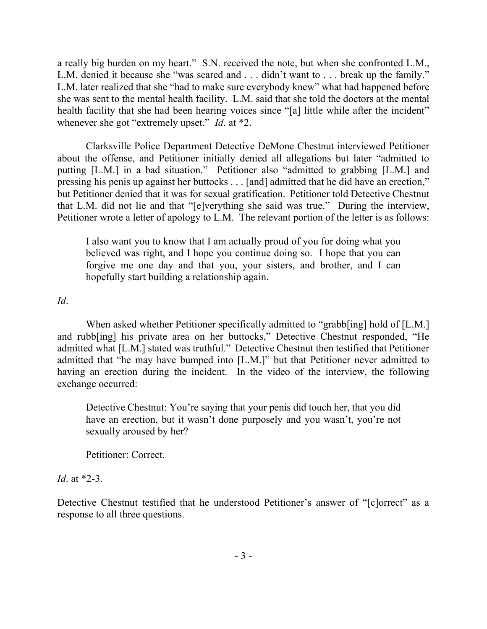a really big burden on my heart." S.N. received the note, but when she confronted L.M., L.M. denied it because she "was scared and . . . didn't want to . . . break up the family." L.M. later realized that she "had to make sure everybody knew" what had happened before she was sent to the mental health facility. L.M. said that she told the doctors at the mental health facility that she had been hearing voices since "[a] little while after the incident" whenever she got "extremely upset." *Id*. at \*2.

Clarksville Police Department Detective DeMone Chestnut interviewed Petitioner about the offense, and Petitioner initially denied all allegations but later "admitted to putting [L.M.] in a bad situation." Petitioner also "admitted to grabbing [L.M.] and pressing his penis up against her buttocks . . . [and] admitted that he did have an erection," but Petitioner denied that it was for sexual gratification. Petitioner told Detective Chestnut that L.M. did not lie and that "[e]verything she said was true." During the interview, Petitioner wrote a letter of apology to L.M. The relevant portion of the letter is as follows:

I also want you to know that I am actually proud of you for doing what you believed was right, and I hope you continue doing so. I hope that you can forgive me one day and that you, your sisters, and brother, and I can hopefully start building a relationship again.

### *Id*.

When asked whether Petitioner specifically admitted to "grabb[ing] hold of [L.M.] and rubb[ing] his private area on her buttocks," Detective Chestnut responded, "He admitted what [L.M.] stated was truthful." Detective Chestnut then testified that Petitioner admitted that "he may have bumped into [L.M.]" but that Petitioner never admitted to having an erection during the incident. In the video of the interview, the following exchange occurred:

Detective Chestnut: You're saying that your penis did touch her, that you did have an erection, but it wasn't done purposely and you wasn't, you're not sexually aroused by her?

Petitioner: Correct.

# *Id*. at \*2-3.

Detective Chestnut testified that he understood Petitioner's answer of "[c]orrect" as a response to all three questions.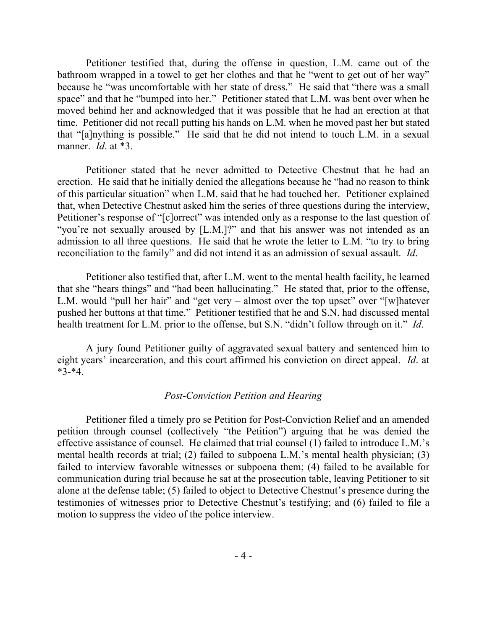Petitioner testified that, during the offense in question, L.M. came out of the bathroom wrapped in a towel to get her clothes and that he "went to get out of her way" because he "was uncomfortable with her state of dress." He said that "there was a small space" and that he "bumped into her." Petitioner stated that L.M. was bent over when he moved behind her and acknowledged that it was possible that he had an erection at that time. Petitioner did not recall putting his hands on L.M. when he moved past her but stated that "[a]nything is possible." He said that he did not intend to touch L.M. in a sexual manner. *Id*. at \*3.

Petitioner stated that he never admitted to Detective Chestnut that he had an erection. He said that he initially denied the allegations because he "had no reason to think of this particular situation" when L.M. said that he had touched her. Petitioner explained that, when Detective Chestnut asked him the series of three questions during the interview, Petitioner's response of "[c]orrect" was intended only as a response to the last question of "you're not sexually aroused by [L.M.]?" and that his answer was not intended as an admission to all three questions. He said that he wrote the letter to L.M. "to try to bring reconciliation to the family" and did not intend it as an admission of sexual assault. *Id*.

Petitioner also testified that, after L.M. went to the mental health facility, he learned that she "hears things" and "had been hallucinating." He stated that, prior to the offense, L.M. would "pull her hair" and "get very – almost over the top upset" over "[w]hatever pushed her buttons at that time." Petitioner testified that he and S.N. had discussed mental health treatment for L.M. prior to the offense, but S.N. "didn't follow through on it." *Id*.

A jury found Petitioner guilty of aggravated sexual battery and sentenced him to eight years' incarceration, and this court affirmed his conviction on direct appeal. *Id*. at \*3-\*4.

#### *Post-Conviction Petition and Hearing*

Petitioner filed a timely pro se Petition for Post-Conviction Relief and an amended petition through counsel (collectively "the Petition") arguing that he was denied the effective assistance of counsel. He claimed that trial counsel (1) failed to introduce L.M.'s mental health records at trial; (2) failed to subpoena L.M.'s mental health physician; (3) failed to interview favorable witnesses or subpoena them; (4) failed to be available for communication during trial because he sat at the prosecution table, leaving Petitioner to sit alone at the defense table; (5) failed to object to Detective Chestnut's presence during the testimonies of witnesses prior to Detective Chestnut's testifying; and (6) failed to file a motion to suppress the video of the police interview.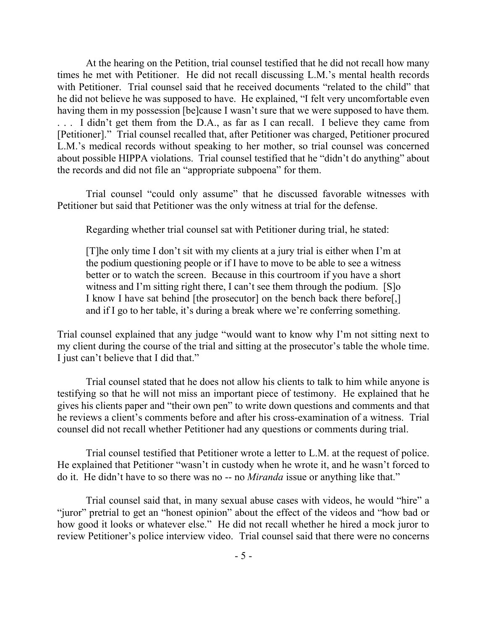At the hearing on the Petition, trial counsel testified that he did not recall how many times he met with Petitioner. He did not recall discussing L.M.'s mental health records with Petitioner. Trial counsel said that he received documents "related to the child" that he did not believe he was supposed to have. He explained, "I felt very uncomfortable even having them in my possession [be]cause I wasn't sure that we were supposed to have them. . . . I didn't get them from the D.A., as far as I can recall. I believe they came from [Petitioner]." Trial counsel recalled that, after Petitioner was charged, Petitioner procured L.M.'s medical records without speaking to her mother, so trial counsel was concerned about possible HIPPA violations. Trial counsel testified that he "didn't do anything" about the records and did not file an "appropriate subpoena" for them.

Trial counsel "could only assume" that he discussed favorable witnesses with Petitioner but said that Petitioner was the only witness at trial for the defense.

Regarding whether trial counsel sat with Petitioner during trial, he stated:

[T]he only time I don't sit with my clients at a jury trial is either when I'm at the podium questioning people or if I have to move to be able to see a witness better or to watch the screen. Because in this courtroom if you have a short witness and I'm sitting right there, I can't see them through the podium. [S]o I know I have sat behind [the prosecutor] on the bench back there before[,] and if I go to her table, it's during a break where we're conferring something.

Trial counsel explained that any judge "would want to know why I'm not sitting next to my client during the course of the trial and sitting at the prosecutor's table the whole time. I just can't believe that I did that."

Trial counsel stated that he does not allow his clients to talk to him while anyone is testifying so that he will not miss an important piece of testimony. He explained that he gives his clients paper and "their own pen" to write down questions and comments and that he reviews a client's comments before and after his cross-examination of a witness. Trial counsel did not recall whether Petitioner had any questions or comments during trial.

Trial counsel testified that Petitioner wrote a letter to L.M. at the request of police. He explained that Petitioner "wasn't in custody when he wrote it, and he wasn't forced to do it. He didn't have to so there was no -- no *Miranda* issue or anything like that."

Trial counsel said that, in many sexual abuse cases with videos, he would "hire" a "juror" pretrial to get an "honest opinion" about the effect of the videos and "how bad or how good it looks or whatever else." He did not recall whether he hired a mock juror to review Petitioner's police interview video. Trial counsel said that there were no concerns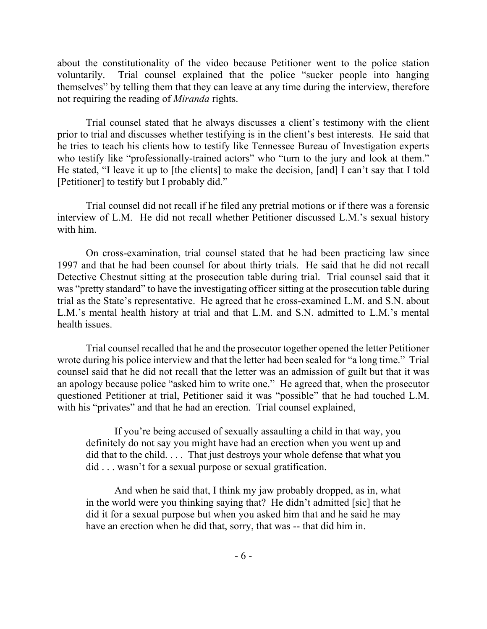about the constitutionality of the video because Petitioner went to the police station voluntarily. Trial counsel explained that the police "sucker people into hanging themselves" by telling them that they can leave at any time during the interview, therefore not requiring the reading of *Miranda* rights.

Trial counsel stated that he always discusses a client's testimony with the client prior to trial and discusses whether testifying is in the client's best interests. He said that he tries to teach his clients how to testify like Tennessee Bureau of Investigation experts who testify like "professionally-trained actors" who "turn to the jury and look at them." He stated, "I leave it up to [the clients] to make the decision, [and] I can't say that I told [Petitioner] to testify but I probably did."

Trial counsel did not recall if he filed any pretrial motions or if there was a forensic interview of L.M. He did not recall whether Petitioner discussed L.M.'s sexual history with him.

On cross-examination, trial counsel stated that he had been practicing law since 1997 and that he had been counsel for about thirty trials. He said that he did not recall Detective Chestnut sitting at the prosecution table during trial. Trial counsel said that it was "pretty standard" to have the investigating officer sitting at the prosecution table during trial as the State's representative. He agreed that he cross-examined L.M. and S.N. about L.M.'s mental health history at trial and that L.M. and S.N. admitted to L.M.'s mental health issues.

Trial counsel recalled that he and the prosecutor together opened the letter Petitioner wrote during his police interview and that the letter had been sealed for "a long time." Trial counsel said that he did not recall that the letter was an admission of guilt but that it was an apology because police "asked him to write one." He agreed that, when the prosecutor questioned Petitioner at trial, Petitioner said it was "possible" that he had touched L.M. with his "privates" and that he had an erection. Trial counsel explained,

If you're being accused of sexually assaulting a child in that way, you definitely do not say you might have had an erection when you went up and did that to the child. . . . That just destroys your whole defense that what you did . . . wasn't for a sexual purpose or sexual gratification.

And when he said that, I think my jaw probably dropped, as in, what in the world were you thinking saying that? He didn't admitted [sic] that he did it for a sexual purpose but when you asked him that and he said he may have an erection when he did that, sorry, that was -- that did him in.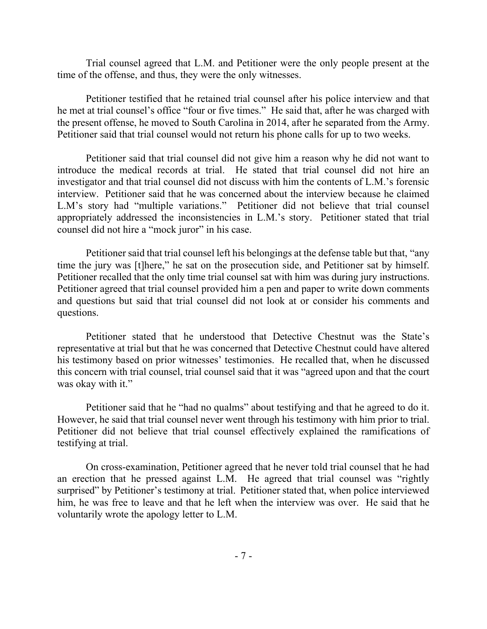Trial counsel agreed that L.M. and Petitioner were the only people present at the time of the offense, and thus, they were the only witnesses.

Petitioner testified that he retained trial counsel after his police interview and that he met at trial counsel's office "four or five times." He said that, after he was charged with the present offense, he moved to South Carolina in 2014, after he separated from the Army. Petitioner said that trial counsel would not return his phone calls for up to two weeks.

Petitioner said that trial counsel did not give him a reason why he did not want to introduce the medical records at trial. He stated that trial counsel did not hire an investigator and that trial counsel did not discuss with him the contents of L.M.'s forensic interview. Petitioner said that he was concerned about the interview because he claimed L.M's story had "multiple variations." Petitioner did not believe that trial counsel appropriately addressed the inconsistencies in L.M.'s story. Petitioner stated that trial counsel did not hire a "mock juror" in his case.

Petitioner said that trial counsel left his belongings at the defense table but that, "any time the jury was [t]here," he sat on the prosecution side, and Petitioner sat by himself. Petitioner recalled that the only time trial counsel sat with him was during jury instructions. Petitioner agreed that trial counsel provided him a pen and paper to write down comments and questions but said that trial counsel did not look at or consider his comments and questions.

Petitioner stated that he understood that Detective Chestnut was the State's representative at trial but that he was concerned that Detective Chestnut could have altered his testimony based on prior witnesses' testimonies. He recalled that, when he discussed this concern with trial counsel, trial counsel said that it was "agreed upon and that the court was okay with it."

Petitioner said that he "had no qualms" about testifying and that he agreed to do it. However, he said that trial counsel never went through his testimony with him prior to trial. Petitioner did not believe that trial counsel effectively explained the ramifications of testifying at trial.

On cross-examination, Petitioner agreed that he never told trial counsel that he had an erection that he pressed against L.M. He agreed that trial counsel was "rightly surprised" by Petitioner's testimony at trial. Petitioner stated that, when police interviewed him, he was free to leave and that he left when the interview was over. He said that he voluntarily wrote the apology letter to L.M.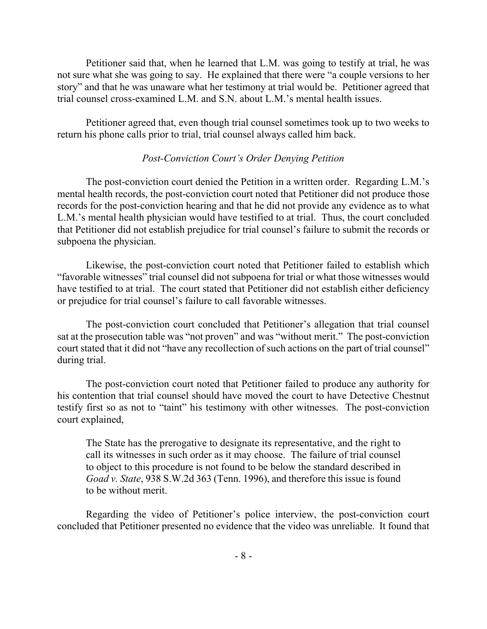Petitioner said that, when he learned that L.M. was going to testify at trial, he was not sure what she was going to say. He explained that there were "a couple versions to her story" and that he was unaware what her testimony at trial would be. Petitioner agreed that trial counsel cross-examined L.M. and S.N. about L.M.'s mental health issues.

Petitioner agreed that, even though trial counsel sometimes took up to two weeks to return his phone calls prior to trial, trial counsel always called him back.

### *Post-Conviction Court's Order Denying Petition*

The post-conviction court denied the Petition in a written order. Regarding L.M.'s mental health records, the post-conviction court noted that Petitioner did not produce those records for the post-conviction hearing and that he did not provide any evidence as to what L.M.'s mental health physician would have testified to at trial. Thus, the court concluded that Petitioner did not establish prejudice for trial counsel's failure to submit the records or subpoena the physician.

Likewise, the post-conviction court noted that Petitioner failed to establish which "favorable witnesses" trial counsel did not subpoena for trial or what those witnesses would have testified to at trial. The court stated that Petitioner did not establish either deficiency or prejudice for trial counsel's failure to call favorable witnesses.

The post-conviction court concluded that Petitioner's allegation that trial counsel sat at the prosecution table was "not proven" and was "without merit." The post-conviction court stated that it did not "have any recollection of such actions on the part of trial counsel" during trial.

The post-conviction court noted that Petitioner failed to produce any authority for his contention that trial counsel should have moved the court to have Detective Chestnut testify first so as not to "taint" his testimony with other witnesses. The post-conviction court explained,

The State has the prerogative to designate its representative, and the right to call its witnesses in such order as it may choose. The failure of trial counsel to object to this procedure is not found to be below the standard described in *Goad v. State*, 938 S.W.2d 363 (Tenn. 1996), and therefore this issue is found to be without merit.

Regarding the video of Petitioner's police interview, the post-conviction court concluded that Petitioner presented no evidence that the video was unreliable. It found that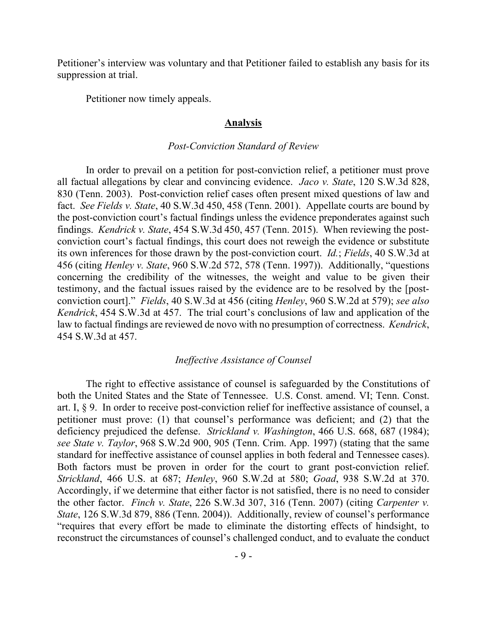Petitioner's interview was voluntary and that Petitioner failed to establish any basis for its suppression at trial.

Petitioner now timely appeals.

#### **Analysis**

#### *Post-Conviction Standard of Review*

In order to prevail on a petition for post-conviction relief, a petitioner must prove all factual allegations by clear and convincing evidence. *Jaco v. State*, 120 S.W.3d 828, 830 (Tenn. 2003). Post-conviction relief cases often present mixed questions of law and fact. *See Fields v. State*, 40 S.W.3d 450, 458 (Tenn. 2001). Appellate courts are bound by the post-conviction court's factual findings unless the evidence preponderates against such findings. *Kendrick v. State*, 454 S.W.3d 450, 457 (Tenn. 2015). When reviewing the postconviction court's factual findings, this court does not reweigh the evidence or substitute its own inferences for those drawn by the post-conviction court. *Id.*; *Fields*, 40 S.W.3d at 456 (citing *Henley v. State*, 960 S.W.2d 572, 578 (Tenn. 1997)). Additionally, "questions concerning the credibility of the witnesses, the weight and value to be given their testimony, and the factual issues raised by the evidence are to be resolved by the [postconviction court]." *Fields*, 40 S.W.3d at 456 (citing *Henley*, 960 S.W.2d at 579); *see also Kendrick*, 454 S.W.3d at 457. The trial court's conclusions of law and application of the law to factual findings are reviewed de novo with no presumption of correctness. *Kendrick*, 454 S.W.3d at 457.

#### *Ineffective Assistance of Counsel*

The right to effective assistance of counsel is safeguarded by the Constitutions of both the United States and the State of Tennessee. U.S. Const. amend. VI; Tenn. Const. art. I, § 9. In order to receive post-conviction relief for ineffective assistance of counsel, a petitioner must prove: (1) that counsel's performance was deficient; and (2) that the deficiency prejudiced the defense. *Strickland v. Washington*, 466 U.S. 668, 687 (1984); *see State v. Taylor*, 968 S.W.2d 900, 905 (Tenn. Crim. App. 1997) (stating that the same standard for ineffective assistance of counsel applies in both federal and Tennessee cases). Both factors must be proven in order for the court to grant post-conviction relief. *Strickland*, 466 U.S. at 687; *Henley*, 960 S.W.2d at 580; *Goad*, 938 S.W.2d at 370. Accordingly, if we determine that either factor is not satisfied, there is no need to consider the other factor. *Finch v. State*, 226 S.W.3d 307, 316 (Tenn. 2007) (citing *Carpenter v. State*, 126 S.W.3d 879, 886 (Tenn. 2004)). Additionally, review of counsel's performance "requires that every effort be made to eliminate the distorting effects of hindsight, to reconstruct the circumstances of counsel's challenged conduct, and to evaluate the conduct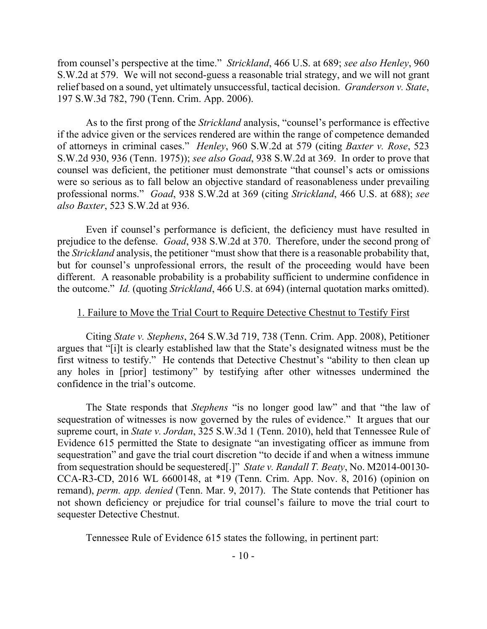from counsel's perspective at the time." *Strickland*, 466 U.S. at 689; *see also Henley*, 960 S.W.2d at 579. We will not second-guess a reasonable trial strategy, and we will not grant relief based on a sound, yet ultimately unsuccessful, tactical decision. *Granderson v. State*, 197 S.W.3d 782, 790 (Tenn. Crim. App. 2006).

As to the first prong of the *Strickland* analysis, "counsel's performance is effective if the advice given or the services rendered are within the range of competence demanded of attorneys in criminal cases." *Henley*, 960 S.W.2d at 579 (citing *Baxter v. Rose*, 523 S.W.2d 930, 936 (Tenn. 1975)); *see also Goad*, 938 S.W.2d at 369. In order to prove that counsel was deficient, the petitioner must demonstrate "that counsel's acts or omissions were so serious as to fall below an objective standard of reasonableness under prevailing professional norms." *Goad*, 938 S.W.2d at 369 (citing *Strickland*, 466 U.S. at 688); *see also Baxter*, 523 S.W.2d at 936.

Even if counsel's performance is deficient, the deficiency must have resulted in prejudice to the defense. *Goad*, 938 S.W.2d at 370. Therefore, under the second prong of the *Strickland* analysis, the petitioner "must show that there is a reasonable probability that, but for counsel's unprofessional errors, the result of the proceeding would have been different. A reasonable probability is a probability sufficient to undermine confidence in the outcome." *Id.* (quoting *Strickland*, 466 U.S. at 694) (internal quotation marks omitted).

### 1. Failure to Move the Trial Court to Require Detective Chestnut to Testify First

Citing *State v. Stephens*, 264 S.W.3d 719, 738 (Tenn. Crim. App. 2008), Petitioner argues that "[i]t is clearly established law that the State's designated witness must be the first witness to testify." He contends that Detective Chestnut's "ability to then clean up any holes in [prior] testimony" by testifying after other witnesses undermined the confidence in the trial's outcome.

The State responds that *Stephens* "is no longer good law" and that "the law of sequestration of witnesses is now governed by the rules of evidence." It argues that our supreme court, in *State v. Jordan*, 325 S.W.3d 1 (Tenn. 2010), held that Tennessee Rule of Evidence 615 permitted the State to designate "an investigating officer as immune from sequestration" and gave the trial court discretion "to decide if and when a witness immune from sequestration should be sequestered[.]" *State v. Randall T. Beaty*, No. M2014-00130- CCA-R3-CD, 2016 WL 6600148, at \*19 (Tenn. Crim. App. Nov. 8, 2016) (opinion on remand), *perm. app. denied* (Tenn. Mar. 9, 2017). The State contends that Petitioner has not shown deficiency or prejudice for trial counsel's failure to move the trial court to sequester Detective Chestnut.

Tennessee Rule of Evidence 615 states the following, in pertinent part: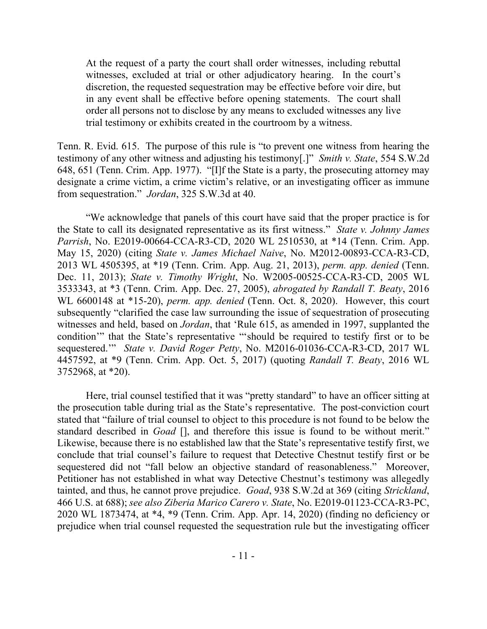At the request of a party the court shall order witnesses, including rebuttal witnesses, excluded at trial or other adjudicatory hearing. In the court's discretion, the requested sequestration may be effective before voir dire, but in any event shall be effective before opening statements. The court shall order all persons not to disclose by any means to excluded witnesses any live trial testimony or exhibits created in the courtroom by a witness.

Tenn. R. Evid. 615. The purpose of this rule is "to prevent one witness from hearing the testimony of any other witness and adjusting his testimony[.]" *Smith v. State*, 554 S.W.2d 648, 651 (Tenn. Crim. App. 1977). "[I]f the State is a party, the prosecuting attorney may designate a crime victim, a crime victim's relative, or an investigating officer as immune from sequestration." *Jordan*, 325 S.W.3d at 40.

"We acknowledge that panels of this court have said that the proper practice is for the State to call its designated representative as its first witness." *State v. Johnny James Parrish*, No. E2019-00664-CCA-R3-CD, 2020 WL 2510530, at \*14 (Tenn. Crim. App. May 15, 2020) (citing *State v. James Michael Naive*, No. M2012-00893-CCA-R3-CD, 2013 WL 4505395, at \*19 (Tenn. Crim. App. Aug. 21, 2013), *perm. app. denied* (Tenn. Dec. 11, 2013); *State v. Timothy Wright*, No. W2005-00525-CCA-R3-CD, 2005 WL 3533343, at \*3 (Tenn. Crim. App. Dec. 27, 2005), *abrogated by Randall T. Beaty*, 2016 WL 6600148 at \*15-20), *perm. app. denied* (Tenn. Oct. 8, 2020). However, this court subsequently "clarified the case law surrounding the issue of sequestration of prosecuting witnesses and held, based on *Jordan*, that 'Rule 615, as amended in 1997, supplanted the condition'" that the State's representative "'should be required to testify first or to be sequestered.'" *State v. David Roger Petty*, No. M2016-01036-CCA-R3-CD, 2017 WL 4457592, at \*9 (Tenn. Crim. App. Oct. 5, 2017) (quoting *Randall T. Beaty*, 2016 WL 3752968, at \*20).

Here, trial counsel testified that it was "pretty standard" to have an officer sitting at the prosecution table during trial as the State's representative. The post-conviction court stated that "failure of trial counsel to object to this procedure is not found to be below the standard described in *Goad* [], and therefore this issue is found to be without merit." Likewise, because there is no established law that the State's representative testify first, we conclude that trial counsel's failure to request that Detective Chestnut testify first or be sequestered did not "fall below an objective standard of reasonableness." Moreover, Petitioner has not established in what way Detective Chestnut's testimony was allegedly tainted, and thus, he cannot prove prejudice. *Goad*, 938 S.W.2d at 369 (citing *Strickland*, 466 U.S. at 688); *see also Ziberia Marico Carero v. State*, No. E2019-01123-CCA-R3-PC, 2020 WL 1873474, at \*4, \*9 (Tenn. Crim. App. Apr. 14, 2020) (finding no deficiency or prejudice when trial counsel requested the sequestration rule but the investigating officer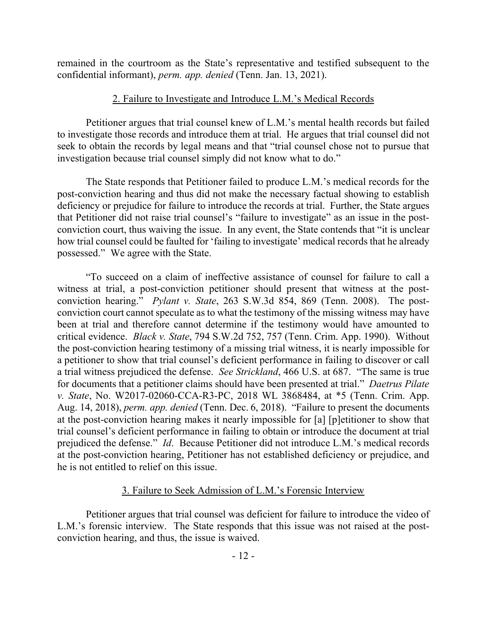remained in the courtroom as the State's representative and testified subsequent to the confidential informant), *perm. app. denied* (Tenn. Jan. 13, 2021).

# 2. Failure to Investigate and Introduce L.M.'s Medical Records

Petitioner argues that trial counsel knew of L.M.'s mental health records but failed to investigate those records and introduce them at trial. He argues that trial counsel did not seek to obtain the records by legal means and that "trial counsel chose not to pursue that investigation because trial counsel simply did not know what to do."

The State responds that Petitioner failed to produce L.M.'s medical records for the post-conviction hearing and thus did not make the necessary factual showing to establish deficiency or prejudice for failure to introduce the records at trial. Further, the State argues that Petitioner did not raise trial counsel's "failure to investigate" as an issue in the postconviction court, thus waiving the issue. In any event, the State contends that "it is unclear how trial counsel could be faulted for 'failing to investigate' medical records that he already possessed." We agree with the State.

"To succeed on a claim of ineffective assistance of counsel for failure to call a witness at trial, a post-conviction petitioner should present that witness at the postconviction hearing." *Pylant v. State*, 263 S.W.3d 854, 869 (Tenn. 2008). The postconviction court cannot speculate as to what the testimony of the missing witness may have been at trial and therefore cannot determine if the testimony would have amounted to critical evidence. *Black v. State*, 794 S.W.2d 752, 757 (Tenn. Crim. App. 1990). Without the post-conviction hearing testimony of a missing trial witness, it is nearly impossible for a petitioner to show that trial counsel's deficient performance in failing to discover or call a trial witness prejudiced the defense. *See Strickland*, 466 U.S. at 687. "The same is true for documents that a petitioner claims should have been presented at trial." *Daetrus Pilate v. State*, No. W2017-02060-CCA-R3-PC, 2018 WL 3868484, at \*5 (Tenn. Crim. App. Aug. 14, 2018), *perm. app. denied* (Tenn. Dec. 6, 2018). "Failure to present the documents at the post-conviction hearing makes it nearly impossible for [a] [p]etitioner to show that trial counsel's deficient performance in failing to obtain or introduce the document at trial prejudiced the defense." *Id*. Because Petitioner did not introduce L.M.'s medical records at the post-conviction hearing, Petitioner has not established deficiency or prejudice, and he is not entitled to relief on this issue.

# 3. Failure to Seek Admission of L.M.'s Forensic Interview

Petitioner argues that trial counsel was deficient for failure to introduce the video of L.M.'s forensic interview. The State responds that this issue was not raised at the postconviction hearing, and thus, the issue is waived.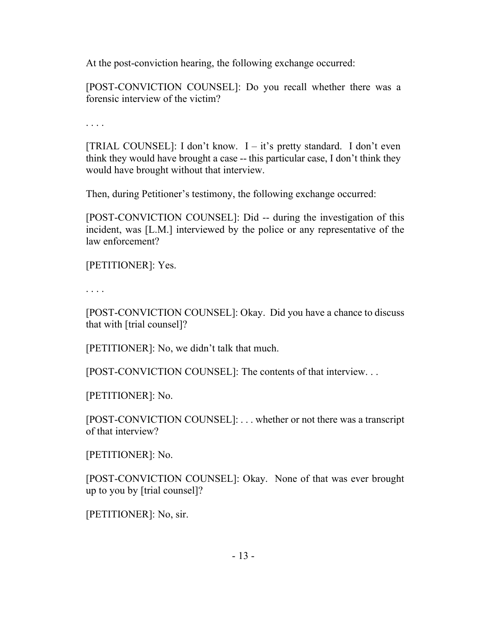At the post-conviction hearing, the following exchange occurred:

[POST-CONVICTION COUNSEL]: Do you recall whether there was a forensic interview of the victim?

. . . .

[TRIAL COUNSEL]: I don't know. I – it's pretty standard. I don't even think they would have brought a case -- this particular case, I don't think they would have brought without that interview.

Then, during Petitioner's testimony, the following exchange occurred:

[POST-CONVICTION COUNSEL]: Did -- during the investigation of this incident, was [L.M.] interviewed by the police or any representative of the law enforcement?

[PETITIONER]: Yes.

. . . .

[POST-CONVICTION COUNSEL]: Okay. Did you have a chance to discuss that with [trial counsel]?

[PETITIONER]: No, we didn't talk that much.

[POST-CONVICTION COUNSEL]: The contents of that interview. . .

[PETITIONER]: No.

[POST-CONVICTION COUNSEL]: . . . whether or not there was a transcript of that interview?

[PETITIONER]: No.

[POST-CONVICTION COUNSEL]: Okay. None of that was ever brought up to you by [trial counsel]?

[PETITIONER]: No, sir.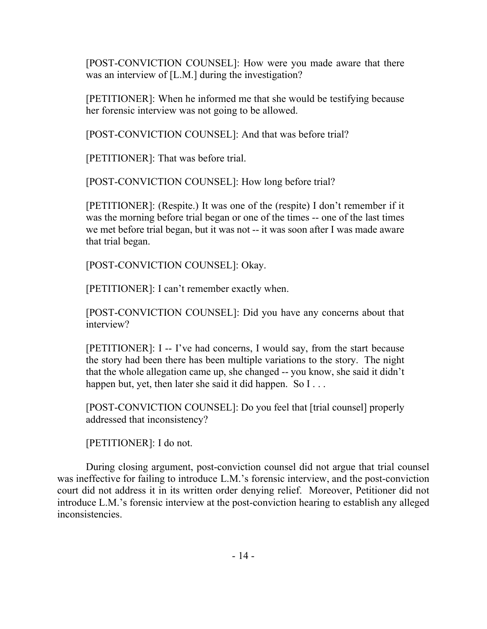[POST-CONVICTION COUNSEL]: How were you made aware that there was an interview of [L.M.] during the investigation?

[PETITIONER]: When he informed me that she would be testifying because her forensic interview was not going to be allowed.

[POST-CONVICTION COUNSEL]: And that was before trial?

[PETITIONER]: That was before trial.

[POST-CONVICTION COUNSEL]: How long before trial?

[PETITIONER]: (Respite.) It was one of the (respite) I don't remember if it was the morning before trial began or one of the times -- one of the last times we met before trial began, but it was not -- it was soon after I was made aware that trial began.

[POST-CONVICTION COUNSEL]: Okay.

[PETITIONER]: I can't remember exactly when.

[POST-CONVICTION COUNSEL]: Did you have any concerns about that interview?

[PETITIONER]: I -- I've had concerns, I would say, from the start because the story had been there has been multiple variations to the story. The night that the whole allegation came up, she changed -- you know, she said it didn't happen but, yet, then later she said it did happen. So  $I \ldots$ 

[POST-CONVICTION COUNSEL]: Do you feel that [trial counsel] properly addressed that inconsistency?

[PETITIONER]: I do not.

During closing argument, post-conviction counsel did not argue that trial counsel was ineffective for failing to introduce L.M.'s forensic interview, and the post-conviction court did not address it in its written order denying relief. Moreover, Petitioner did not introduce L.M.'s forensic interview at the post-conviction hearing to establish any alleged inconsistencies.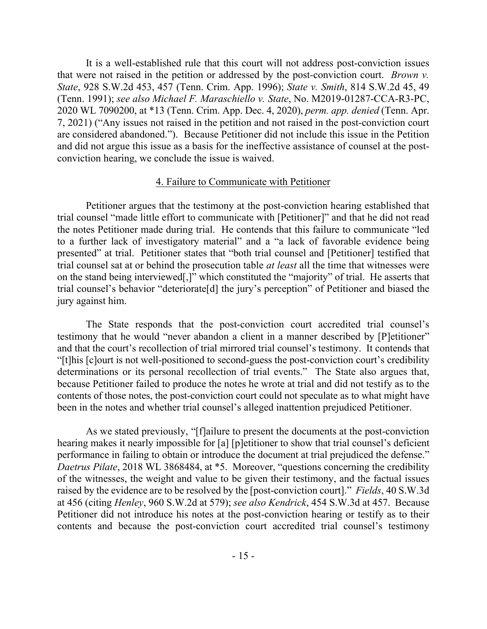It is a well-established rule that this court will not address post-conviction issues that were not raised in the petition or addressed by the post-conviction court. *Brown v. State*, 928 S.W.2d 453, 457 (Tenn. Crim. App. 1996); *State v. Smith*, 814 S.W.2d 45, 49 (Tenn. 1991); *see also Michael F. Maraschiello v. State*, No. M2019-01287-CCA-R3-PC, 2020 WL 7090200, at \*13 (Tenn. Crim. App. Dec. 4, 2020), *perm. app. denied* (Tenn. Apr. 7, 2021) ("Any issues not raised in the petition and not raised in the post-conviction court are considered abandoned."). Because Petitioner did not include this issue in the Petition and did not argue this issue as a basis for the ineffective assistance of counsel at the postconviction hearing, we conclude the issue is waived.

### 4. Failure to Communicate with Petitioner

Petitioner argues that the testimony at the post-conviction hearing established that trial counsel "made little effort to communicate with [Petitioner]" and that he did not read the notes Petitioner made during trial. He contends that this failure to communicate "led to a further lack of investigatory material" and a "a lack of favorable evidence being presented" at trial. Petitioner states that "both trial counsel and [Petitioner] testified that trial counsel sat at or behind the prosecution table *at least* all the time that witnesses were on the stand being interviewed[,]" which constituted the "majority" of trial. He asserts that trial counsel's behavior "deteriorate[d] the jury's perception" of Petitioner and biased the jury against him.

The State responds that the post-conviction court accredited trial counsel's testimony that he would "never abandon a client in a manner described by [P]etitioner" and that the court's recollection of trial mirrored trial counsel's testimony. It contends that "[t]his [c]ourt is not well-positioned to second-guess the post-conviction court's credibility determinations or its personal recollection of trial events." The State also argues that, because Petitioner failed to produce the notes he wrote at trial and did not testify as to the contents of those notes, the post-conviction court could not speculate as to what might have been in the notes and whether trial counsel's alleged inattention prejudiced Petitioner.

As we stated previously, "[f]ailure to present the documents at the post-conviction hearing makes it nearly impossible for [a] [p]etitioner to show that trial counsel's deficient performance in failing to obtain or introduce the document at trial prejudiced the defense." *Daetrus Pilate*, 2018 WL 3868484, at \*5. Moreover, "questions concerning the credibility of the witnesses, the weight and value to be given their testimony, and the factual issues raised by the evidence are to be resolved by the [post-conviction court]." *Fields*, 40 S.W.3d at 456 (citing *Henley*, 960 S.W.2d at 579); *see also Kendrick*, 454 S.W.3d at 457. Because Petitioner did not introduce his notes at the post-conviction hearing or testify as to their contents and because the post-conviction court accredited trial counsel's testimony